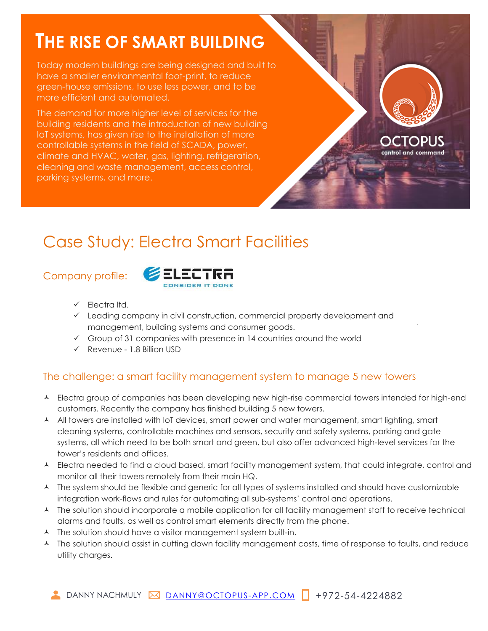# **THE RISE OF SMART BUILDING**

Today modern buildings are being designed and built to have a smaller environmental foot-print, to reduce green-house emissions, to use less power, and to be more efficient and automated.

The demand for more higher level of services for the building residents and the introduction of new building IoT systems, has given rise to the installation of more controllable systems in the field of SCADA, power, climate and HVAC, water, gas, lighting, refrigeration, cleaning and waste management, access control, parking systems, and more.

## CTOPUS ontrol and command:

 $\ddot{\phantom{0}}$ 

## Case Study: Electra Smart Facilities

### Company profile:



- ✓ Electra ltd.
- ✓ Leading company in civil construction, commercial property development and management, building systems and consumer goods.
- $\checkmark$  Group of 31 companies with presence in 14 countries around the world
- ✓ Revenue 1.8 Billion USD

### The challenge: a smart facility management system to manage 5 new towers

- A Electra group of companies has been developing new high-rise commercial towers intended for high-end customers. Recently the company has finished building 5 new towers.
- A All towers are installed with IoT devices, smart power and water management, smart lighting, smart cleaning systems, controllable machines and sensors, security and safety systems, parking and gate systems, all which need to be both smart and green, but also offer advanced high-level services for the tower's residents and offices.
- A Electra needed to find a cloud based, smart facility management system, that could integrate, control and monitor all their towers remotely from their main HQ.
- A The system should be flexible and generic for all types of systems installed and should have customizable integration work-flows and rules for automating all sub-systems' control and operations.
- A The solution should incorporate a mobile application for all facility management staff to receive technical alarms and faults, as well as control smart elements directly from the phone.
- A The solution should have a visitor management system built-in.
- A The solution should assist in cutting down facility management costs, time of response to faults, and reduce utility charges.